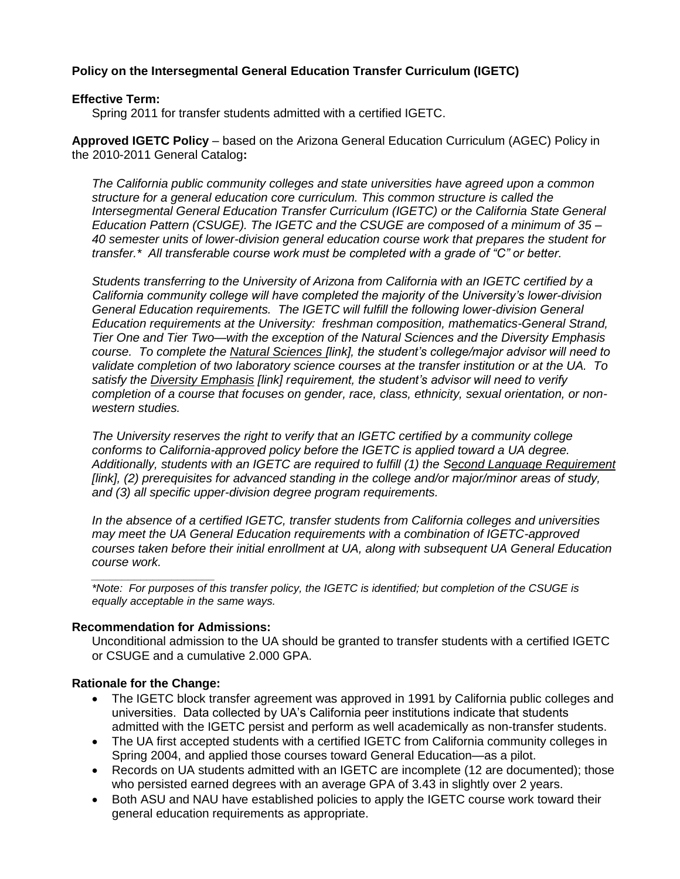## **Policy on the Intersegmental General Education Transfer Curriculum (IGETC)**

#### **Effective Term:**

Spring 2011 for transfer students admitted with a certified IGETC.

**Approved IGETC Policy** – based on the Arizona General Education Curriculum (AGEC) Policy in the 2010-2011 General Catalog**:**

*The California public community colleges and state universities have agreed upon a common structure for a general education core curriculum. This common structure is called the Intersegmental General Education Transfer Curriculum (IGETC) or the California State General Education Pattern (CSUGE). The IGETC and the CSUGE are composed of a minimum of 35 – 40 semester units of lower-division general education course work that prepares the student for transfer.\* All transferable course work must be completed with a grade of "C" or better.* 

*Students transferring to the University of Arizona from California with an IGETC certified by a California community college will have completed the majority of the University's lower-division General Education requirements. The IGETC will fulfill the following lower-division General Education requirements at the University: freshman composition, mathematics-General Strand, Tier One and Tier Two—with the exception of the Natural Sciences and the Diversity Emphasis course. To complete the Natural Sciences [link], the student's college/major advisor will need to validate completion of two laboratory science courses at the transfer institution or at the UA. To satisfy the Diversity Emphasis [link] requirement, the student's advisor will need to verify completion of a course that focuses on gender, race, class, ethnicity, sexual orientation, or nonwestern studies.*

*The University reserves the right to verify that an IGETC certified by a community college conforms to California-approved policy before the IGETC is applied toward a UA degree. Additionally, students with an IGETC are required to fulfill (1) the Second Language Requirement [link], (2) prerequisites for advanced standing in the college and/or major/minor areas of study, and (3) all specific upper-division degree program requirements.* 

*In the absence of a certified IGETC, transfer students from California colleges and universities may meet the UA General Education requirements with a combination of IGETC-approved courses taken before their initial enrollment at UA, along with subsequent UA General Education course work.* 

*\_\_\_\_\_\_\_\_\_\_\_\_\_\_\_\_\_\_\_\_ \*Note: For purposes of this transfer policy, the IGETC is identified; but completion of the CSUGE is equally acceptable in the same ways.*

### **Recommendation for Admissions:**

Unconditional admission to the UA should be granted to transfer students with a certified IGETC or CSUGE and a cumulative 2.000 GPA.

### **Rationale for the Change:**

- The IGETC block transfer agreement was approved in 1991 by California public colleges and universities. Data collected by UA's California peer institutions indicate that students admitted with the IGETC persist and perform as well academically as non-transfer students.
- The UA first accepted students with a certified IGETC from California community colleges in Spring 2004, and applied those courses toward General Education—as a pilot.
- Records on UA students admitted with an IGETC are incomplete (12 are documented); those who persisted earned degrees with an average GPA of 3.43 in slightly over 2 years.
- Both ASU and NAU have established policies to apply the IGETC course work toward their general education requirements as appropriate.